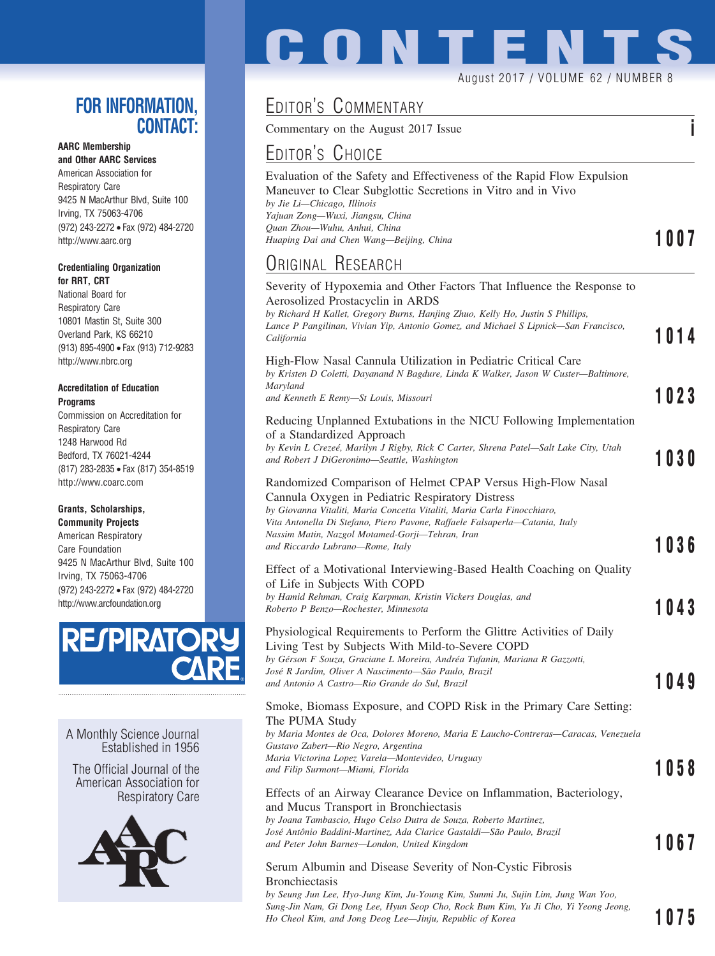## **FOR INFORMATION, CONTACT:**

### **AARC Membership**

**and Other AARC Services** American Association for Respiratory Care 9425 N MacArthur Blvd, Suite 100 Irving, TX 75063-4706 (972) 243-2272 • Fax (972) 484-2720 http://www.aarc.org

#### **Credentialing Organization for RRT, CRT**

National Board for Respiratory Care 10801 Mastin St, Suite 300 Overland Park, KS 66210 (913) 895-4900 • Fax (913) 712-9283 http://www.nbrc.org

#### **Accreditation of Education Programs**

Commission on Accreditation for Respiratory Care 1248 Harwood Rd Bedford, TX 76021-4244 (817) 283-2835 • Fax (817) 354-8519 http://www.coarc.com

### **Grants, Scholarships,**

**Community Projects** American Respiratory Care Foundation 9425 N MacArthur Blvd, Suite 100 Irving, TX 75063-4706 (972) 243-2272 • Fax (972) 484-2720 http://www.arcfoundation.org



A Monthly Science Journal Established in 1956

The Official Journal of the American Association for Respiratory Care



# **CONTENT** August 2017 / VOLUME 62 / NUMBER 8

# EDITOR'S COMMENTARY

Commentary on the August 2017 Issue **i**

# EDITOR'S CHOICE

| Huaping Dai and Chen Wang—Beijing, China                               | 1007 |
|------------------------------------------------------------------------|------|
| Ouan Zhou—Wuhu, Anhui, China                                           |      |
| Yajuan Zong—Wuxi, Jiangsu, China                                       |      |
| by Jie Li—Chicago, Illinois                                            |      |
| Maneuver to Clear Subglottic Secretions in Vitro and in Vivo           |      |
| Evaluation of the Safety and Effectiveness of the Rapid Flow Expulsion |      |
|                                                                        |      |

## ORIGINAL RESEARCH

| Severity of Hypoxemia and Other Factors That Influence the Response to<br>Aerosolized Prostacyclin in ARDS<br>by Richard H Kallet, Gregory Burns, Hanjing Zhuo, Kelly Ho, Justin S Phillips,<br>Lance P Pangilinan, Vivian Yip, Antonio Gomez, and Michael S Lipnick—San Francisco,<br>California                                                                | 1014 |
|------------------------------------------------------------------------------------------------------------------------------------------------------------------------------------------------------------------------------------------------------------------------------------------------------------------------------------------------------------------|------|
| High-Flow Nasal Cannula Utilization in Pediatric Critical Care<br>by Kristen D Coletti, Dayanand N Bagdure, Linda K Walker, Jason W Custer-Baltimore,<br>Maryland<br>and Kenneth E Remy—St Louis, Missouri                                                                                                                                                       | 1023 |
| Reducing Unplanned Extubations in the NICU Following Implementation<br>of a Standardized Approach<br>by Kevin L Crezeé, Marilyn J Rigby, Rick C Carter, Shrena Patel-Salt Lake City, Utah<br>and Robert J DiGeronimo-Seattle, Washington                                                                                                                         | 1030 |
| Randomized Comparison of Helmet CPAP Versus High-Flow Nasal<br>Cannula Oxygen in Pediatric Respiratory Distress<br>by Giovanna Vitaliti, Maria Concetta Vitaliti, Maria Carla Finocchiaro,<br>Vita Antonella Di Stefano, Piero Pavone, Raffaele Falsaperla—Catania, Italy<br>Nassim Matin, Nazgol Motamed-Gorji—Tehran, Iran<br>and Riccardo Lubrano—Rome, Italy | 1036 |
| Effect of a Motivational Interviewing-Based Health Coaching on Quality<br>of Life in Subjects With COPD<br>by Hamid Rehman, Craig Karpman, Kristin Vickers Douglas, and<br>Roberto P Benzo—Rochester, Minnesota                                                                                                                                                  | 1043 |
| Physiological Requirements to Perform the Glittre Activities of Daily<br>Living Test by Subjects With Mild-to-Severe COPD<br>by Gérson F Souza, Graciane L Moreira, Andréa Tufanin, Mariana R Gazzotti,<br>José R Jardim, Oliver A Nascimento-São Paulo, Brazil<br>and Antonio A Castro—Rio Grande do Sul, Brazil                                                | 1049 |
| Smoke, Biomass Exposure, and COPD Risk in the Primary Care Setting:<br>The PUMA Study<br>by Maria Montes de Oca, Dolores Moreno, Maria E Laucho-Contreras—Caracas, Venezuela<br>Gustavo Zabert—Rio Negro, Argentina<br>Maria Victorina Lopez Varela—Montevideo, Uruguay<br>and Filip Surmont—Miami, Florida                                                      | 1058 |
| Effects of an Airway Clearance Device on Inflammation, Bacteriology,<br>and Mucus Transport in Bronchiectasis<br>by Joana Tambascio, Hugo Celso Dutra de Souza, Roberto Martinez,<br>José Antônio Baddini-Martinez, Ada Clarice Gastaldi—São Paulo, Brazil<br>and Peter John Barnes—London, United Kingdom                                                       | 1067 |
| Serum Albumin and Disease Severity of Non-Cystic Fibrosis<br>Bronchiectasis<br>by Seung Jun Lee, Hyo-Jung Kim, Ju-Young Kim, Sunmi Ju, Sujin Lim, Jung Wan Yoo,<br>Sung-Jin Nam, Gi Dong Lee, Hyun Seop Cho, Rock Bum Kim, Yu Ji Cho, Yi Yeong Jeong,                                                                                                            |      |

*Ho Cheol Kim, and Jong Deog Lee—Jinju, Republic of Korea* **1075**